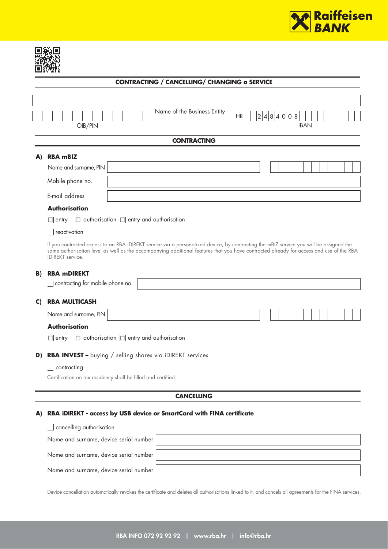



## **CONTRACTING / CANCELLING/ CHANGING a SERVICE**

|    | Name of the Business Entity<br>2 4 8 4 0 0 8<br><b>HR</b><br>OIB/PIN<br><b>IBAN</b>                                                                                                                                                                                                                          |
|----|--------------------------------------------------------------------------------------------------------------------------------------------------------------------------------------------------------------------------------------------------------------------------------------------------------------|
|    | <b>CONTRACTING</b>                                                                                                                                                                                                                                                                                           |
| A) | <b>RBA mBIZ</b>                                                                                                                                                                                                                                                                                              |
|    | Name and surname, PIN                                                                                                                                                                                                                                                                                        |
|    | Mobile phone no.                                                                                                                                                                                                                                                                                             |
|    | E-mail address                                                                                                                                                                                                                                                                                               |
|    | <b>Authorisation</b>                                                                                                                                                                                                                                                                                         |
|    | $\Box$ entry $\Box$ authorisation $\Box$ entry and authorisation                                                                                                                                                                                                                                             |
|    | reactivation                                                                                                                                                                                                                                                                                                 |
|    | If you contracted access to an RBA iDIREKT service via a personalized device, by contracting the mBIZ service you will be assigned the<br>same authorisation level as well as the accompanying additional features that you have contracted already for access and use of the RBA<br><b>iDIREKT</b> service. |
| B) | <b>RBA mDIREKT</b><br>contracting for mobile phone no.                                                                                                                                                                                                                                                       |
| C) | <b>RBA MULTICASH</b>                                                                                                                                                                                                                                                                                         |
|    | Name and surname, PIN                                                                                                                                                                                                                                                                                        |
|    | <b>Authorisation</b>                                                                                                                                                                                                                                                                                         |
|    | $\Box$ entry $\Box$ authorisation $\Box$ entry and authorisation                                                                                                                                                                                                                                             |
| D) | <b>RBA INVEST - buying / selling shares via iDIREKT services</b>                                                                                                                                                                                                                                             |
|    | contracting                                                                                                                                                                                                                                                                                                  |
|    | Certification on tax residency shall be filled and certified.                                                                                                                                                                                                                                                |
|    | <b>CANCELLING</b>                                                                                                                                                                                                                                                                                            |
| A) | RBA iDIREKT - access by USB device or SmartCard with FINA certificate                                                                                                                                                                                                                                        |
|    | cancelling authorisation                                                                                                                                                                                                                                                                                     |
|    | Name and surname, device serial number                                                                                                                                                                                                                                                                       |
|    | Name and surname, device serial number                                                                                                                                                                                                                                                                       |
|    |                                                                                                                                                                                                                                                                                                              |
|    | Name and surname, device serial number                                                                                                                                                                                                                                                                       |

Device cancellation automatically revokes the certificate and deletes all authorisations linked to it, and cancels all agreements for the FINA services.